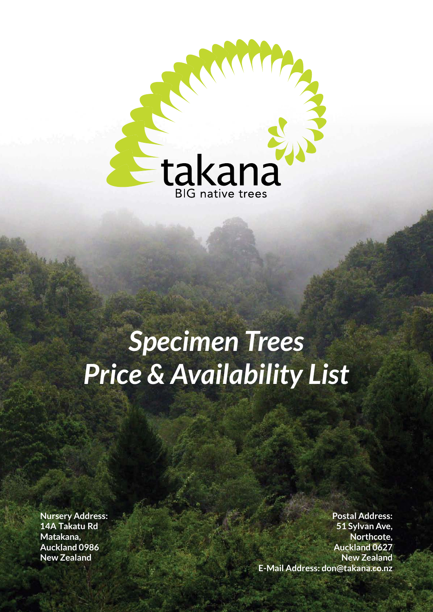

# *Specimen Trees Price & Availability List*

**Nursery Address: 14A Takatu Rd Matakana, Auckland 0986 New Zealand** 

**Postal Address: 51 Sylvan Ave, Northcote, Auckland 0627 New Zealand E-Mail Address: don@takana.co.nz**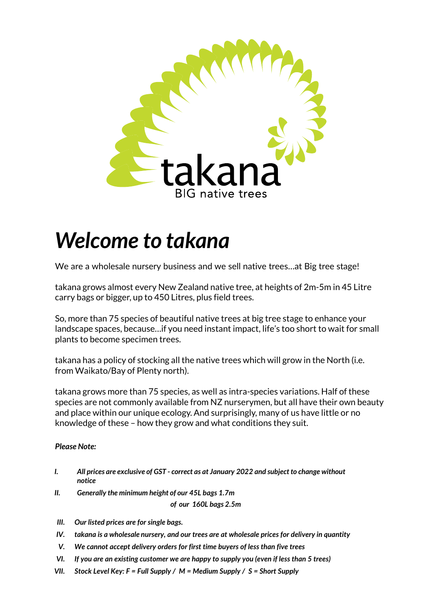

## *Welcome to takana*

We are a wholesale nursery business and we sell native trees...at Big tree stage!

takana grows almost every New Zealand native tree, at heights of 2m-5m in 45 Litre carry bags or bigger, up to 450 Litres, plus field trees.

So, more than 75 species of beautiful native trees at big tree stage to enhance your landscape spaces, because…if you need instant impact, life's too short to wait for small plants to become specimen trees.

takana has a policy of stocking all the native trees which will grow in the North (i.e. from Waikato/Bay of Plenty north).

takana grows more than 75 species, as well as intra-species variations. Half of these species are not commonly available from NZ nurserymen, but all have their own beauty and place within our unique ecology. And surprisingly, many of us have little or no knowledge of these – how they grow and what conditions they suit.

#### *Please Note:*

- *I. All prices are exclusive of GST correct as at January 2022 and subject to change without notice*
- *II. Generally the minimum height of our 45L bags 1.7m*

*of our 160L bags 2.5m*

- *III. Our listed prices are for single bags.*
- *IV. takana is a wholesale nursery, and our trees are at wholesale prices for delivery in quantity*
- *V. We cannot accept delivery orders for first time buyers of less than five trees*
- *VI. If you are an existing customer we are happy to supply you (even if less than 5 trees)*
- *VII. Stock Level Key: F = Full Supply / M = Medium Supply / S = Short Supply*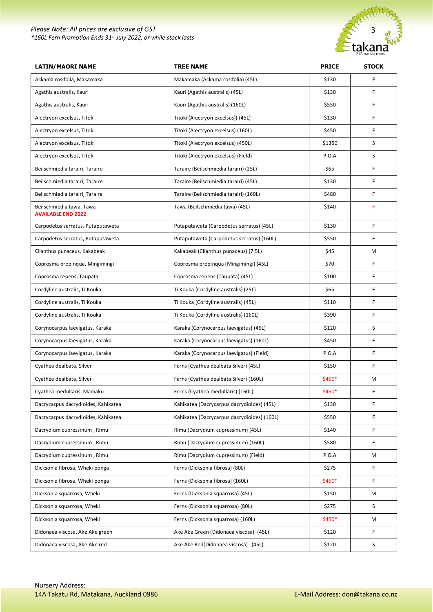#### *Please Note: All prices are exclusive of GST \*160L Fern Promotion Ends 31st July 2022, or while stock lasts*



| <b>LATIN/MAORI NAME</b>                               | <b>TREE NAME</b>                            | <b>PRICE</b> | <b>STOCK</b> |
|-------------------------------------------------------|---------------------------------------------|--------------|--------------|
| Ackama rosifolia, Makamaka                            | Makamaka (Ackama rosifolia) (45L)           | \$130        | F            |
| Agathis australis, Kauri                              | Kauri (Agathis australis) (45L)             | \$130        | F            |
| Agathis australis, Kauri                              | Kauri (Agathis australis) (160L)            | \$550        | F            |
| Alectryon excelsus, Titoki                            | Titoki (Alectryon excelsus)((45L)           | \$130        | F            |
| Alectryon excelsus, Titoki                            | Titoki (Alectryon excelsus) (160L)          | \$450        | F            |
| Alectryon excelsus, Titoki                            | Titoki (Alectryon excelsus) (450L)          | \$1350       | S            |
| Alectryon excelsus, Titoki                            | Titoki (Alectryon excelsus) (Field)         | P.O.A        | S            |
| Beilschmiedia tarairi, Taraire                        | Taraire (Beilschmiedia tarairi) (25L)       | \$65         | F            |
| Beilschmiedia tarairi, Taraire                        | Taraire (Beilschmiedia tarairi) (45L)       | \$130        | F            |
| Beilschmiedia tarairi, Taraire                        | Taraire (Beilschmiedia tarairi) (160L)      | \$480        | F            |
| Beilschmiedia tawa, Tawa<br><b>AVAILABLE END 2022</b> | Tawa (Beilschmiedia tawa) (45L)             | \$140        | F            |
| Carpodetus serratus, Putaputaweta                     | Putaputaweta (Carpodetus serratus) (45L)    | \$130        | F            |
| Carpodetus serratus, Putaputaweta                     | Putaputaweta (Carpodetus serratus) (160L)   | \$550        | F            |
| Clianthus punaceus, Kakabeak                          | Kakabeak (Clianthus punaceus) (7.5L)        | \$45         | М            |
| Coprosma propinqua, Mingimingi                        | Coprosma propinqua (Mingimingi) (45L)       | \$70         | F            |
| Coprosma repens, Taupata                              | Coprosma repens (Taupata) (45L)             | \$100        | F            |
| Cordyline australis, Ti Kouka                         | Ti Kouka (Cordyline australis) (25L)        | \$65         | F            |
| Cordyline australis, Ti Kouka                         | Ti Kouka (Cordyline australis) (45L)        | \$110        | F            |
| Cordyline australis, Ti Kouka                         | Ti Kouka (Cordyline australis) (160L)       | \$390        | F            |
| Corynocarpus laevigatus, Karaka                       | Karaka (Corynocarpus laevigatus) (45L)      | \$120        | S            |
| Corynocarpus laevigatus, Karaka                       | Karaka (Corynocarpus laevigatus) (160L)     | \$450        | F            |
| Corynocarpus laevigatus, Karaka                       | Karaka (Corynocarpus laevigatus) (Field)    | P.O.A        | F            |
| Cyathea dealbata, Silver                              | Ferns (Cyathea dealbata Silver) (45L)       | \$150        | F            |
| Cyathea dealbata, Silver                              | Ferns (Cyathea dealbata Silver) (160L)      | \$450*       | M            |
| Cyathea medullaris, Mamaku                            | Ferns (Cyathea medullaris) (160L)           | \$450*       | F            |
| Dacrycarpus dacrydioides, Kahikatea                   | Kahikatea (Dacrycarpus dacrydioides) (45L)  | \$130        | F            |
| Dacrycarpus dacrydioides, Kahikatea                   | Kahikatea (Dacrycarpus dacrydioides) (160L) | \$550        | F.           |
| Dacrydium cupressinum, Rimu                           | Rimu (Dacrydium cupressinum) (45L)          | \$140        | F            |
| Dacrydium cupressinum, Rimu                           | Rimu (Dacrydium cupressinum) (160L)         | \$580        | F            |
| Dacrydium cupressinum, Rimu                           | Rimu (Dacrydium cupressinum) (Field)        | P.O.A        | M            |
| Dicksonia fibrosa, Wheki ponga                        | Ferns (Dicksonia fibrosa) (80L)             | \$275        | F            |
| Dicksonia fibrosa, Wheki ponga                        | Ferns (Dicksonia fibrosa) (160L)            | \$450*       | F            |
| Dicksonia squarrosa, Wheki                            | Ferns (Dicksonia squarrosa) (45L)           | \$150        | М            |
| Dicksonia squarrosa, Wheki                            | Ferns (Dicksonia squarrosa) (80L)           | \$275        | S            |
| Dicksonia squarrosa, Wheki                            | Ferns (Dicksonia squarrosa) (160L)          | \$450*       | М            |
| Didonaea viscosa, Ake Ake green                       | Ake Ake Green (Didonaea viscosa) (45L)      | \$120        | F            |
| Didonaea viscosa, Ake Ake red                         | Ake Ake Red(Didonaea viscosa) (45L)         | \$120        | S            |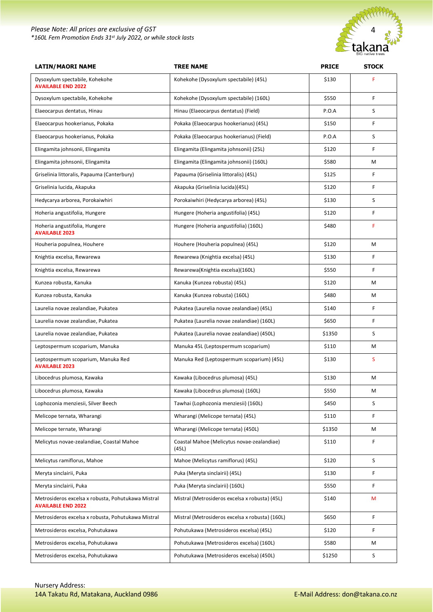#### *Please Note: All prices are exclusive of GST \*160L Fern Promotion Ends 31st July 2022, or while stock lasts*



| <b>LATIN/MAORI NAME</b>                                                         | <b>TREE NAME</b>                                    | <b>PRICE</b> | <b>STOCK</b> |
|---------------------------------------------------------------------------------|-----------------------------------------------------|--------------|--------------|
| Dysoxylum spectabile, Kohekohe<br><b>AVAILABLE END 2022</b>                     | Kohekohe (Dysoxylum spectabile) (45L)               | \$130        | F            |
| Dysoxylum spectabile, Kohekohe                                                  | Kohekohe (Dysoxylum spectabile) (160L)              | \$550        | F            |
| Elaeocarpus dentatus, Hinau                                                     | Hinau (Elaeocarpus dentatus) (Field)                | P.O.A        | S            |
| Elaeocarpus hookerianus, Pokaka                                                 | Pokaka (Elaeocarpus hookerianus) (45L)              | \$150        | F            |
| Elaeocarpus hookerianus, Pokaka                                                 | Pokaka (Elaeocarpus hookerianus) (Field)            | P.O.A        | S            |
| Elingamita johnsonii, Elingamita                                                | Elingamita (Elingamita johnsonii) (25L)             | \$120        | F            |
| Elingamita johnsonii, Elingamita                                                | Elingamita (Elingamita johnsonii) (160L)            | \$580        | M            |
| Griselinia littoralis, Papauma (Canterbury)                                     | Papauma (Griselinia littoralis) (45L)               | \$125        | F            |
| Griselinia lucida, Akapuka                                                      | Akapuka (Griselinia lucida)(45L)                    | \$120        | F            |
| Hedycarya arborea, Porokaiwhiri                                                 | Porokaiwhiri (Hedycarya arborea) (45L)              | \$130        | S            |
| Hoheria angustifolia, Hungere                                                   | Hungere (Hoheria angustifolia) (45L)                | \$120        | F            |
| Hoheria angustifolia, Hungere<br><b>AVAILABLE 2023</b>                          | Hungere (Hoheria angustifolia) (160L)               | \$480        | F            |
| Houheria populnea, Houhere                                                      | Houhere (Houheria populnea) (45L)                   | \$120        | M            |
| Knightia excelsa, Rewarewa                                                      | Rewarewa (Knightia excelsa) (45L)                   | \$130        | F            |
| Knightia excelsa, Rewarewa                                                      | Rewarewa(Knightia excelsa)(160L)                    | \$550        | F            |
| Kunzea robusta, Kanuka                                                          | Kanuka (Kunzea robusta) (45L)                       | \$120        | M            |
| Kunzea robusta, Kanuka                                                          | Kanuka (Kunzea robusta) (160L)                      | \$480        | M            |
| Laurelia novae zealandiae, Pukatea                                              | Pukatea (Laurelia novae zealandiae) (45L)           | \$140        | F            |
| Laurelia novae zealandiae, Pukatea                                              | Pukatea (Laurelia novae zealandiae) (160L)          | \$650        | F            |
| Laurelia novae zealandiae, Pukatea                                              | Pukatea (Laurelia novae zealandiae) (450L)          | \$1350       | S            |
| Leptospermum scoparium, Manuka                                                  | Manuka 45L (Leptospermum scoparium)                 | \$110        | М            |
| Leptospermum scoparium, Manuka Red<br><b>AVAILABLE 2023</b>                     | Manuka Red (Leptospermum scoparium) (45L)           | \$130        | S            |
| Libocedrus plumosa, Kawaka                                                      | Kawaka (Libocedrus plumosa) (45L)                   | \$130        | M            |
| Libocedrus plumosa, Kawaka                                                      | Kawaka (Libocedrus plumosa) (160L)                  | \$550        | М            |
| Lophozonia menziesii, Silver Beech                                              | Tawhai (Lophozonia menziesii) (160L)                | \$450        | S            |
| Melicope ternata, Wharangi                                                      | Wharangi (Melicope ternata) (45L)                   | \$110        | F            |
| Melicope ternate, Wharangi                                                      | Wharangi (Melicope ternata) (450L)                  | \$1350       | M            |
| Melicytus novae-zealandiae, Coastal Mahoe                                       | Coastal Mahoe (Melicytus novae-zealandiae)<br>(45L) | \$110        | F            |
| Melicytus ramiflorus, Mahoe                                                     | Mahoe (Melicytus ramiflorus) (45L)                  | \$120        | S            |
| Meryta sinclairii, Puka                                                         | Puka (Meryta sinclairii) (45L)                      | \$130        | F            |
| Meryta sinclairii, Puka                                                         | Puka (Meryta sinclairii) (160L)                     | \$550        | F            |
| Metrosideros excelsa x robusta, Pohutukawa Mistral<br><b>AVAILABLE END 2022</b> | Mistral (Metrosideros excelsa x robusta) (45L)      | \$140        | M            |
| Metrosideros excelsa x robusta, Pohutukawa Mistral                              | Mistral (Metrosideros excelsa x robusta) (160L)     | \$650        | F            |
| Metrosideros excelsa, Pohutukawa                                                | Pohutukawa (Metrosideros excelsa) (45L)             | \$120        | F            |
| Metrosideros excelsa, Pohutukawa                                                | Pohutukawa (Metrosideros excelsa) (160L)            | \$580        | M            |
| Metrosideros excelsa, Pohutukawa                                                | Pohutukawa (Metrosideros excelsa) (450L)            | \$1250       | S            |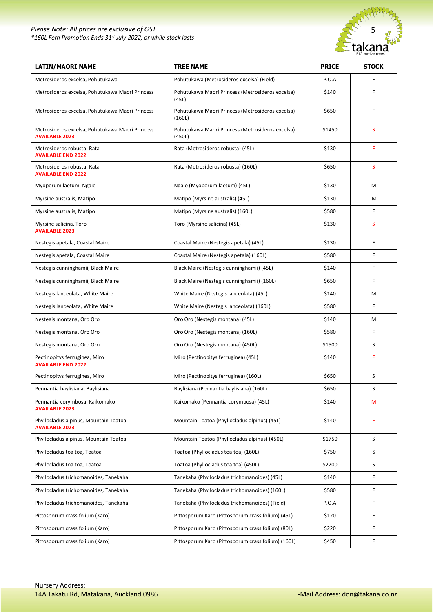

| <b>LATIN/MAORI NAME</b>                                                  | <b>TREE NAME</b>                                           | <b>PRICE</b> | <b>STOCK</b> |
|--------------------------------------------------------------------------|------------------------------------------------------------|--------------|--------------|
| Metrosideros excelsa, Pohutukawa                                         | Pohutukawa (Metrosideros excelsa) (Field)                  | P.O.A        | F            |
| Metrosideros excelsa, Pohutukawa Maori Princess                          | Pohutukawa Maori Princess (Metrosideros excelsa)<br>(45L)  | \$140        | F            |
| Metrosideros excelsa, Pohutukawa Maori Princess                          | Pohutukawa Maori Princess (Metrosideros excelsa)<br>(160L) | \$650        | F            |
| Metrosideros excelsa, Pohutukawa Maori Princess<br><b>AVAILABLE 2023</b> | Pohutukawa Maori Princess (Metrosideros excelsa)<br>(450L) | \$1450       | S            |
| Metrosideros robusta, Rata<br><b>AVAILABLE END 2022</b>                  | Rata (Metrosideros robusta) (45L)                          | \$130        | F            |
| Metrosideros robusta, Rata<br><b>AVAILABLE END 2022</b>                  | Rata (Metrosideros robusta) (160L)                         | \$650        | S            |
| Myoporum laetum, Ngaio                                                   | Ngaio (Myoporum laetum) (45L)                              | \$130        | M            |
| Myrsine australis, Matipo                                                | Matipo (Myrsine australis) (45L)                           | \$130        | м            |
| Myrsine australis, Matipo                                                | Matipo (Myrsine australis) (160L)                          | \$580        | F            |
| Myrsine salicina, Toro<br><b>AVAILABLE 2023</b>                          | Toro (Myrsine salicina) (45L)                              | \$130        | S            |
| Nestegis apetala, Coastal Maire                                          | Coastal Maire (Nestegis apetala) (45L)                     | \$130        | F            |
| Nestegis apetala, Coastal Maire                                          | Coastal Maire (Nestegis apetala) (160L)                    | \$580        | F            |
| Nestegis cunninghamii, Black Maire                                       | Black Maire (Nestegis cunninghamii) (45L)                  | \$140        | F            |
| Nestegis cunninghamii, Black Maire                                       | Black Maire (Nestegis cunninghamii) (160L)                 | \$650        | F            |
| Nestegis lanceolata, White Maire                                         | White Maire (Nestegis lanceolata) (45L)                    | \$140        | М            |
| Nestegis lanceolata, White Maire                                         | White Maire (Nestegis lanceolata) (160L)                   | \$580        | F            |
| Nestegis montana, Oro Oro                                                | Oro Oro (Nestegis montana) (45L)                           | \$140        | M            |
| Nestegis montana, Oro Oro                                                | Oro Oro (Nestegis montana) (160L)                          | \$580        | F            |
| Nestegis montana, Oro Oro                                                | Oro Oro (Nestegis montana) (450L)                          | \$1500       | S            |
| Pectinopitys ferruginea, Miro<br><b>AVAILABLE END 2022</b>               | Miro (Pectinopitys ferruginea) (45L)                       | \$140        | F            |
| Pectinopitys ferruginea, Miro                                            | Miro (Pectinopitys ferruginea) (160L)                      | \$650        | S            |
| Pennantia baylisiana, Baylisiana                                         | Baylisiana (Pennantia baylisiana) (160L)                   | \$650        | S            |
| Pennantia corymbosa, Kaikomako<br><b>AVAILABLE 2023</b>                  | Kaikomako (Pennantia corymbosa) (45L)                      | \$140        | M            |
| Phyllocladus alpinus, Mountain Toatoa<br><b>AVAILABLE 2023</b>           | Mountain Toatoa (Phyllocladus alpinus) (45L)               | \$140        | F            |
| Phyllocladus alpinus, Mountain Toatoa                                    | Mountain Toatoa (Phyllocladus alpinus) (450L)              | \$1750       | S            |
| Phyllocladus toa toa, Toatoa                                             | Toatoa (Phyllocladus toa toa) (160L)                       | \$750        | S            |
| Phyllocladus toa toa, Toatoa                                             | Toatoa (Phyllocladus toa toa) (450L)                       | \$2200       | S            |
| Phyllocladus trichomanoides, Tanekaha                                    | Tanekaha (Phyllocladus trichomanoides) (45L)               | \$140        | F            |
| Phyllocladus trichomanoides, Tanekaha                                    | Tanekaha (Phyllocladus trichomanoides) (160L)              | \$580        | F            |
| Phyllocladus trichomanoides, Tanekaha                                    | Tanekaha (Phyllocladus trichomanoides) (Field)             | P.O.A        | F            |
| Pittosporum crassifolium (Karo)                                          | Pittosporum Karo (Pittosporum crassifolium) (45L)          | \$120        | F            |
| Pittosporum crassifolium (Karo)                                          | Pittosporum Karo (Pittosporum crassifolium) (80L)          | \$220        | F            |
| Pittosporum crassifolium (Karo)                                          | Pittosporum Karo (Pittosporum crassifolium) (160L)         | \$450        | F            |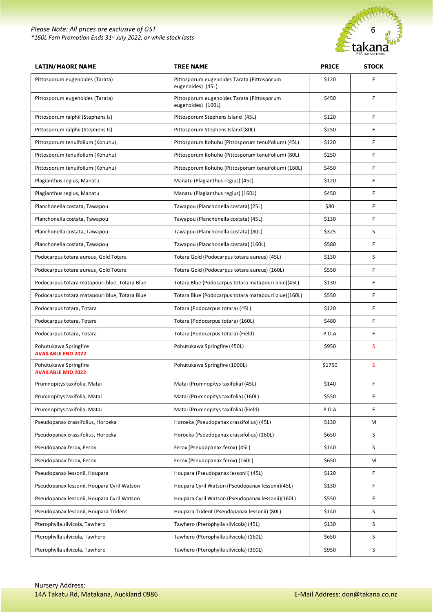

| <b>LATIN/MAORI NAME</b>                            | <b>TREE NAME</b>                                                 | <b>PRICE</b> | <b>STOCK</b> |
|----------------------------------------------------|------------------------------------------------------------------|--------------|--------------|
| Pittosporum eugenoides (Tarata)                    | Pittosporum eugenoides Tarata (Pittosporum<br>eugenoides) (45L)  | \$120        | F            |
| Pittosporum eugenoides (Tarata)                    | Pittosporum eugenoides Tarata (Pittosporum<br>eugenoides) (160L) | \$450        | F            |
| Pittosporum ralphii (Stephens Is)                  | Pittosporum Stephens Island (45L)                                | \$120        | F            |
| Pittosporum ralphii (Stephens Is)                  | Pittosporum Stephens Island (80L)                                | \$250        | F            |
| Pittosporum tenuifolium (Kohuhu)                   | Pittosporum Kohuhu (Pittosporum tenuifolium) (45L)               | \$120        | F            |
| Pittosporum tenuifolium (Kohuhu)                   | Pittosporum Kohuhu (Pittosporum tenuifolium) (80L)               | \$250        | F            |
| Pittosporum tenuifolium (Kohuhu)                   | Pittosporum Kohuhu (Pittosporum tenuifolium) (160L)              | \$450        | F            |
| Plagianthus regius, Manatu                         | Manatu (Plagianthus regius) (45L)                                | \$120        | F            |
| Plagianthus regius, Manatu                         | Manatu (Plagianthus regius) (160L)                               | \$450        | F            |
| Planchonella costata, Tawapou                      | Tawapou (Planchonella costata) (25L)                             | \$80         | F            |
| Planchonella costata, Tawapou                      | Tawapou (Planchonella costata) (45L)                             | \$130        | F            |
| Planchonella costata, Tawapou                      | Tawapou (Planchonella costata) (80L)                             | \$325        | S            |
| Planchonella costata, Tawapou                      | Tawapou (Planchonella costata) (160L)                            | \$580        | F            |
| Podocarpus totara aureus, Gold Totara              | Totara Gold (Podocarpus totara aureus) (45L)                     | \$130        | S            |
| Podocarpus totara aureus, Gold Totara              | Totara Gold (Podocarpus totara aureus) (160L)                    | \$550        | F            |
| Podocarpus totara matapouri blue, Totara Blue      | Totara Blue (Podocarpus totara matapouri blue)(45L)              | \$130        | F            |
| Podocarpus totara matapouri blue, Totara Blue      | Totara Blue (Podocarpus totara matapouri blue)(160L)             | \$550        | F            |
| Podocarpus totara, Totara                          | Totara (Podocarpus totara) (45L)                                 | \$120        | F            |
| Podocarpus totara, Totara                          | Totara (Podocarpus totara) (160L)                                | \$480        | F            |
| Podocarpus totara, Totara                          | Totara (Podocarpus totara) (Field)                               | P.O.A        | F            |
| Pohutukawa Springfire<br><b>AVAILABLE END 2022</b> | Pohutukawa Springfire (450L)                                     | \$950        | S            |
| Pohutukawa Springfire<br><b>AVAILABLE MID 2022</b> | Pohutukawa Springfire (1000L)                                    | \$1750       | S            |
| Prumnopitys taxifolia, Matai                       | Matai (Prumnopitys taxifolia) (45L)                              | \$140        | F            |
| Prumnopitys taxifolia, Matai                       | Matai (Prumnopitys taxifolia) (160L)                             | \$550        | F            |
| Prumnopitys taxifolia, Matai                       | Matai (Prumnopitys taxifolia) (Field)                            | P.O.A        | F            |
| Pseudopanax crassifolius, Horoeka                  | Horoeka (Pseudopanax crassifolius) (45L)                         | \$130        | M            |
| Pseudopanax crassifolius, Horoeka                  | Horoeka (Pseudopanax crassifolius) (160L)                        | \$650        | S            |
| Pseudopanax ferox, Ferox                           | Ferox (Pseudopanax ferox) (45L)                                  | \$140        | S            |
| Pseudopanax ferox, Ferox                           | Ferox (Pseudopanax ferox) (160L)                                 | \$650        | М            |
| Pseudopanax lessonii, Houpara                      | Houpara (Pseudopanax lessonii) (45L)                             | \$120        | F            |
| Pseudopanax lessonii, Houpara Cyril Watson         | Houpara Cyril Watson (Pseudopanax lessonii)(45L)                 | \$130        | F            |
| Pseudopanax lessonii, Houpara Cyril Watson         | Houpara Cyril Watson (Pseudopanax lessonii)(160L)                | \$550        | F            |
| Pseudopanax lessonii, Houpara Trident              | Houpara Trident (Pseudopanax lessonii) (80L)                     | \$140        | S            |
| Pterophylla silvicola, Tawhero                     | Tawhero (Pterophylla silvicola) (45L)                            | \$130        | S            |
| Pterophylla silvicola, Tawhero                     | Tawhero (Pterophylla silvicola) (160L)                           | \$650        | S            |
| Pterophylla silvicola, Tawhero                     | Tawhero (Pterophylla silvicola) (300L)                           | \$950        | S            |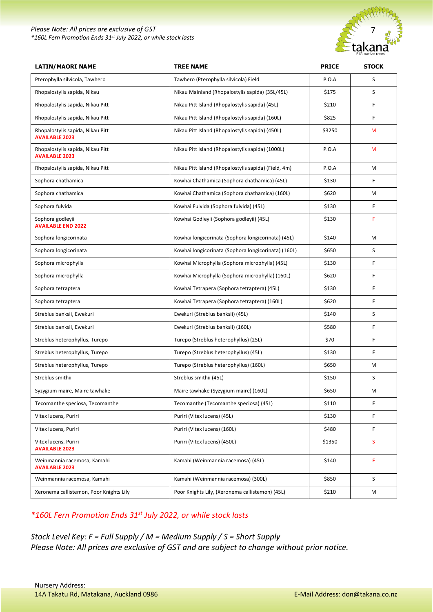#### *Please Note: All prices are exclusive of GST \*160L Fern Promotion Ends 31st July 2022, or while stock lasts*



| <b>LATIN/MAORI NAME</b>                                   | <b>TREE NAME</b>                                     | <b>PRICE</b> | <b>STOCK</b> |
|-----------------------------------------------------------|------------------------------------------------------|--------------|--------------|
| Pterophylla silvicola, Tawhero                            | Tawhero (Pterophylla silvicola) Field                | P.O.A        | S            |
| Rhopalostylis sapida, Nikau                               | Nikau Mainland (Rhopalostylis sapida) (35L/45L)      | \$175        | S            |
| Rhopalostylis sapida, Nikau Pitt                          | Nikau Pitt Island (Rhopalostylis sapida) (45L)       | \$210        | F            |
| Rhopalostylis sapida, Nikau Pitt                          | Nikau Pitt Island (Rhopalostylis sapida) (160L)      | \$825        | F            |
| Rhopalostylis sapida, Nikau Pitt<br><b>AVAILABLE 2023</b> | Nikau Pitt Island (Rhopalostylis sapida) (450L)      | \$3250       | М            |
| Rhopalostylis sapida, Nikau Pitt<br><b>AVAILABLE 2023</b> | Nikau Pitt Island (Rhopalostylis sapida) (1000L)     | P.O.A        | M            |
| Rhopalostylis sapida, Nikau Pitt                          | Nikau Pitt Island (Rhopalostylis sapida) (Field, 4m) | P.O.A        | M            |
| Sophora chathamica                                        | Kowhai Chathamica (Sophora chathamica) (45L)         | \$130        | F            |
| Sophora chathamica                                        | Kowhai Chathamica (Sophora chathamica) (160L)        | \$620        | М            |
| Sophora fulvida                                           | Kowhai Fulvida (Sophora fulvida) (45L)               | \$130        | F            |
| Sophora godleyii<br><b>AVAILABLE END 2022</b>             | Kowhai Godleyii (Sophora godleyii) (45L)             | \$130        | F            |
| Sophora longicorinata                                     | Kowhai longicorinata (Sophora longicorinata) (45L)   | \$140        | M            |
| Sophora longicorinata                                     | Kowhai longicorinata (Sophora longicorinata) (160L)  | \$650        | S            |
| Sophora microphylla                                       | Kowhai Microphylla (Sophora microphylla) (45L)       | \$130        | F            |
| Sophora microphylla                                       | Kowhai Microphylla (Sophora microphylla) (160L)      | \$620        | F            |
| Sophora tetraptera                                        | Kowhai Tetrapera (Sophora tetraptera) (45L)          | \$130        | F            |
| Sophora tetraptera                                        | Kowhai Tetrapera (Sophora tetraptera) (160L)         | \$620        | F            |
| Streblus banksii, Ewekuri                                 | Ewekuri (Streblus banksii) (45L)                     | \$140        | S            |
| Streblus banksii, Ewekuri                                 | Ewekuri (Streblus banksii) (160L)                    | \$580        | F            |
| Streblus heterophyllus, Turepo                            | Turepo (Streblus heterophyllus) (25L)                | \$70         | F            |
| Streblus heterophyllus, Turepo                            | Turepo (Streblus heterophyllus) (45L)                | \$130        | F            |
| Streblus heterophyllus, Turepo                            | Turepo (Streblus heterophyllus) (160L)               | \$650        | M            |
| Streblus smithii                                          | Streblus smithii (45L)                               | \$150        | S            |
| Syzygium maire, Maire tawhake                             | Maire tawhake (Syzygium maire) (160L)                | \$650        | M            |
| Tecomanthe speciosa, Tecomanthe                           | Tecomanthe (Tecomanthe speciosa) (45L)               | \$110        | F            |
| Vitex lucens, Puriri                                      | Puriri (Vitex lucens) (45L)                          | \$130        | F            |
| Vitex lucens, Puriri                                      | Puriri (Vitex lucens) (160L)                         | \$480        | F            |
| Vitex lucens, Puriri<br><b>AVAILABLE 2023</b>             | Puriri (Vitex lucens) (450L)                         | \$1350       | S            |
| Weinmannia racemosa, Kamahi<br><b>AVAILABLE 2023</b>      | Kamahi (Weinmannia racemosa) (45L)                   | \$140        | F            |
| Weinmannia racemosa, Kamahi                               | Kamahi (Weinmannia racemosa) (300L)                  | \$850        | S            |
| Xeronema callistemon, Poor Knights Lily                   | Poor Knights Lily, (Xeronema callistemon) (45L)      | \$210        | M            |

#### *\*160L Fern Promotion Ends 31st July 2022, or while stock lasts*

*Stock Level Key: F = Full Supply / M = Medium Supply / S = Short Supply Please Note: All prices are exclusive of GST and are subject to change without prior notice.*